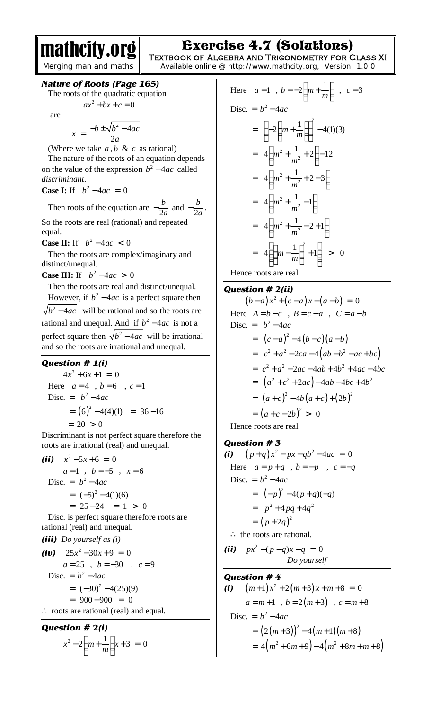# Exercise 4.7 (Solutions)

mathcity.org *Merging man and maths*

**Textbook of Algebra and Trigonometry for Class XI**  Available online @ http://www.mathcity.org, Version: 1.0.0

### *Nature of Roots (Page 165)*

The roots of the quadratic equation

$$
ax^2 + bx + c = 0
$$

are

$$
x = \frac{-b \pm \sqrt{b^2 - 4ac}}{2a}
$$

(Where we take  $a, b \& c$  as rational) The nature of the roots of an equation depends on the value of the expression  $b^2 - 4ac$  called *discriminant*.

**Case I:** If  $b^2 - 4ac = 0$ 

Then roots of the equation are  $-\frac{b}{2a}$  $-\frac{b}{2a}$  and  $-\frac{b}{2a}$  $-\frac{v}{2a}$ . So the roots are real (rational) and repeated

equal.

**Case II:** If  $b^2 - 4ac < 0$ 

 Then the roots are complex/imaginary and distinct/unequal.

**Case III:** If  $b^2 - 4ac > 0$ 

 Then the roots are real and distinct/unequal. However, if  $b^2 - 4ac$  is a perfect square then  $b^2 - 4ac$  will be rational and so the roots are rational and unequal. And if  $b^2 - 4ac$  is not a perfect square then  $\sqrt{b^2 - 4ac}$  will be irrational and so the roots are irrational and unequal.

## *Question # 1(i)*

 $4x^2 + 6x + 1 = 0$ Here  $a=4$ ,  $b=6$ ,  $c=1$ Disc. =  $b^2-4ac$  $= (6)^2 - 4(4)(1) = 36 - 16$  $= 20 > 0$ 

Discriminant is not perfect square therefore the roots are irrational (real) and unequal.

*(ii)*  $x^2 - 5x + 6 = 0$  $a=1$ ,  $b=-5$ ,  $x=6$  $\text{Disc.} = b^2 - 4ac$  $= (-5)^2 - 4(1)(6)$  $= 25 - 24 = 1 > 0$ Disc. is perfect square therefore roots are rational (real) and unequal.

*(iii) Do yourself as (i)*  $(iv)$  25 $x^2 - 30x + 9 = 0$  *a* = 25 , *b* = −30 , *c* = 9 Disc. =  $b^2 - 4ac$  $= (-30)^2 - 4(25)(9)$  $= 900 - 900 = 0$ ∴ roots are rational (real) and equal.

**Question # 2(i)**  

$$
x^{2}-2\left(m+\frac{1}{m}\right)x+3=0
$$

Here 
$$
a = 1
$$
,  $b = -2\left(m + \frac{1}{m}\right)$ ,  $c = 3$   
\nDisc.  $= b^2 - 4ac$   
\n $= \left(-2\left(m + \frac{1}{m}\right)\right)^2 - 4(1)(3)$   
\n $= 4\left(m^2 + \frac{1}{m^2} + 2\right) - 12$   
\n $= 4\left(m^2 + \frac{1}{m^2} + 2 - 3\right)$   
\n $= 4\left(m^2 + \frac{1}{m^2} - 1\right)$   
\n $= 4\left(m^2 + \frac{1}{m^2} - 2 + 1\right)$   
\n $= 4\left(\left(m - \frac{1}{m}\right)^2 + 1\right) > 0$ 

Hence roots are real.

# *Question # 2(ii)*

$$
(b-a)x^2 + (c-a)x + (a-b) = 0
$$
  
Here  $A=b-c$ ,  $B=c-a$ ,  $C=a-b$   
Disc.  $= b^2-4ac$   
 $= (c-a)^2-4(b-c)(a-b)$   
 $= c^2+a^2-2ca-4(ab-b^2-ac+bc)$   
 $= c^2+a^2-2ac-4ab+4b^2+4ac-4bc$   
 $= (a^2+c^2+2ac)-4ab-4bc+4b^2$   
 $= (a+c)^2-4b(a+c)+(2b)^2$   
 $= (a+c-2b)^2 > 0$   
Hence roots are real.

### *Question # 3*

*(i)*  $(p+q)x^2 - px - qb^2 - 4ac = 0$ Here  $a = p + q$ ,  $b = -p$ ,  $c = -q$ Disc. =  $b^2 - 4ac$  $= (-p)^2 - 4(p+q)(-q)$  $= p^2 + 4pq + 4q^2$  $= (p+2q)^2$ ∴ the roots are rational.

*(ii)*   $px^2 - (p-q)x - q = 0$ *Do yourself* 

### *Question # 4*

(i) 
$$
(m+1)x^2 + 2(m+3)x + m+8 = 0
$$
  
\n $a=m+1, b=2(m+3), c=m+8$   
\nDisc.  $= b^2 - 4ac$   
\n $= (2(m+3))^2 - 4(m+1)(m+8)$   
\n $= 4(m^2 + 6m+9) - 4(m^2 + 8m + m+8)$